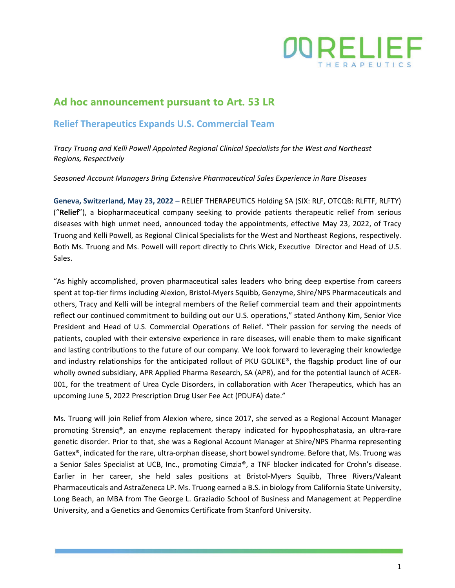

# **Ad hoc announcement pursuant to Art. 53 LR**

# **Relief Therapeutics Expands U.S. Commercial Team**

*Tracy Truong and Kelli Powell Appointed Regional Clinical Specialists for the West and Northeast Regions, Respectively*

*Seasoned Account Managers Bring Extensive Pharmaceutical Sales Experience in Rare Diseases*

**Geneva, Switzerland, May 23, 2022 –** RELIEF THERAPEUTICS Holding SA (SIX: RLF, OTCQB: RLFTF, RLFTY) ("**Relief**"), a biopharmaceutical company seeking to provide patients therapeutic relief from serious diseases with high unmet need, announced today the appointments, effective May 23, 2022, of Tracy Truong and Kelli Powell, as Regional Clinical Specialists for the West and Northeast Regions, respectively. Both Ms. Truong and Ms. Powell will report directly to Chris Wick, Executive Director and Head of U.S. Sales.

"As highly accomplished, proven pharmaceutical sales leaders who bring deep expertise from careers spent at top-tier firms including Alexion, Bristol-Myers Squibb, Genzyme, Shire/NPS Pharmaceuticals and others, Tracy and Kelli will be integral members of the Relief commercial team and their appointments reflect our continued commitment to building out our U.S. operations," stated Anthony Kim, Senior Vice President and Head of U.S. Commercial Operations of Relief. "Their passion for serving the needs of patients, coupled with their extensive experience in rare diseases, will enable them to make significant and lasting contributions to the future of our company. We look forward to leveraging their knowledge and industry relationships for the anticipated rollout of PKU GOLIKE®, the flagship product line of our wholly owned subsidiary, APR Applied Pharma Research, SA (APR), and for the potential launch of ACER-001, for the treatment of Urea Cycle Disorders, in collaboration with Acer Therapeutics, which has an upcoming June 5, 2022 Prescription Drug User Fee Act (PDUFA) date."

Ms. Truong will join Relief from Alexion where, since 2017, she served as a Regional Account Manager promoting Strensiq®, an enzyme replacement therapy indicated for hypophosphatasia, an ultra-rare genetic disorder. Prior to that, she was a Regional Account Manager at Shire/NPS Pharma representing Gattex®, indicated for the rare, ultra-orphan disease, short bowel syndrome. Before that, Ms. Truong was a Senior Sales Specialist at UCB, Inc., promoting Cimzia®, a TNF blocker indicated for Crohn's disease. Earlier in her career, she held sales positions at Bristol-Myers Squibb, Three Rivers/Valeant Pharmaceuticals and AstraZeneca LP. Ms. Truong earned a B.S. in biology from California State University, Long Beach, an MBA from The George L. Graziadio School of Business and Management at Pepperdine University, and a Genetics and Genomics Certificate from Stanford University.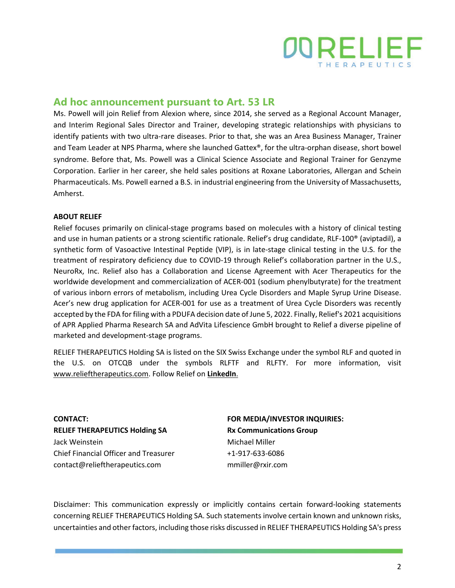

### **Ad hoc announcement pursuant to Art. 53 LR**

Ms. Powell will join Relief from Alexion where, since 2014, she served as a Regional Account Manager, and Interim Regional Sales Director and Trainer, developing strategic relationships with physicians to identify patients with two ultra-rare diseases. Prior to that, she was an Area Business Manager, Trainer and Team Leader at NPS Pharma, where she launched Gattex®, for the ultra-orphan disease, short bowel syndrome. Before that, Ms. Powell was a Clinical Science Associate and Regional Trainer for Genzyme Corporation. Earlier in her career, she held sales positions at Roxane Laboratories, Allergan and Schein Pharmaceuticals. Ms. Powell earned a B.S. in industrial engineering from the University of Massachusetts, Amherst.

#### **ABOUT RELIEF**

Relief focuses primarily on clinical-stage programs based on molecules with a history of clinical testing and use in human patients or a strong scientific rationale. Relief's drug candidate, RLF-100® (aviptadil), a synthetic form of Vasoactive Intestinal Peptide (VIP), is in late-stage clinical testing in the U.S. for the treatment of respiratory deficiency due to COVID-19 through Relief's collaboration partner in the U.S., NeuroRx, Inc. Relief also has a Collaboration and License Agreement with Acer Therapeutics for the worldwide development and commercialization of ACER-001 (sodium phenylbutyrate) for the treatment of various inborn errors of metabolism, including Urea Cycle Disorders and Maple Syrup Urine Disease. Acer's new drug application for ACER-001 for use as a treatment of Urea Cycle Disorders was recently accepted by the FDA for filing with a PDUFA decision date of June 5, 2022. Finally, Relief's 2021 acquisitions of APR Applied Pharma Research SA and AdVita Lifescience GmbH brought to Relief a diverse pipeline of marketed and development-stage programs.

RELIEF THERAPEUTICS Holding SA is listed on the SIX Swiss Exchange under the symbol RLF and quoted in the U.S. on OTCQB under the symbols RLFTF and RLFTY. For more information, visit [www.relieftherapeutics.com.](http://www.relieftherapeutics.com/) Follow Relief on **[LinkedIn](https://www.linkedin.com/company/relief-therapeutics-holding-sa/?viewAsMember=true)**.

**CONTACT: RELIEF THERAPEUTICS Holding SA** Jack Weinstein Chief Financial Officer and Treasurer contact@relieftherapeutics.com

### **FOR MEDIA/INVESTOR INQUIRIES: Rx Communications Group** Michael Miller +1-917-633-6086 mmiller@rxir.com

Disclaimer: This communication expressly or implicitly contains certain forward-looking statements concerning RELIEF THERAPEUTICS Holding SA. Such statements involve certain known and unknown risks, uncertainties and other factors, including those risks discussed in RELIEF THERAPEUTICS Holding SA's press